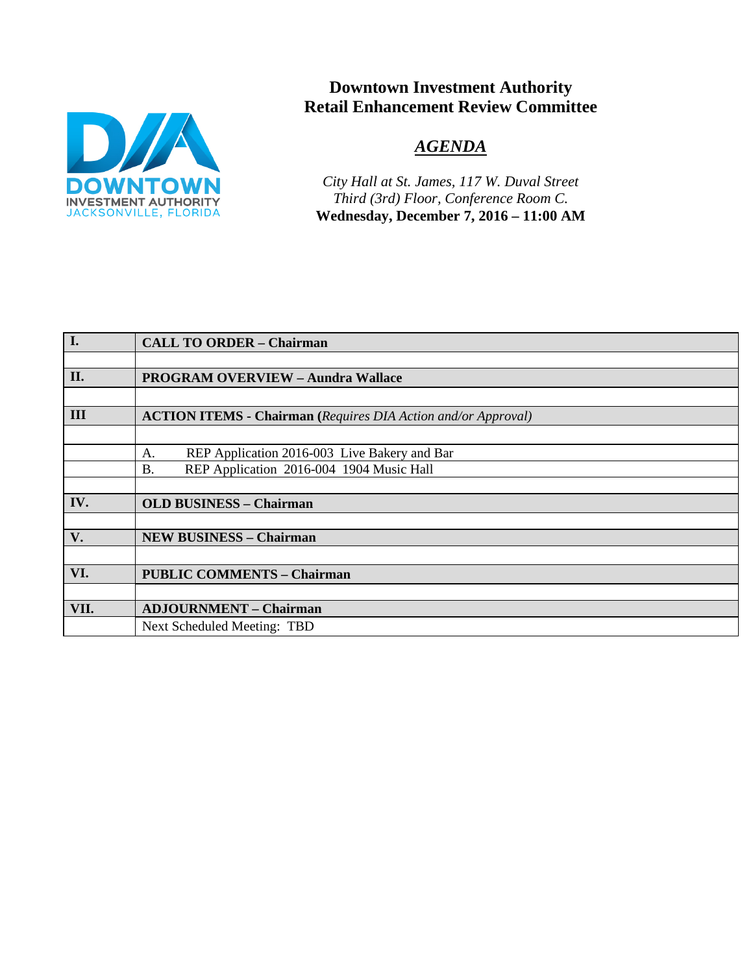

# **Downtown Investment Authority Retail Enhancement Review Committee**

# *AGENDA*

*City Hall at St. James, 117 W. Duval Street Third (3rd) Floor, Conference Room C.*  **Wednesday, December 7, 2016 – 11:00 AM**

| I.            | <b>CALL TO ORDER - Chairman</b>                                      |  |
|---------------|----------------------------------------------------------------------|--|
|               |                                                                      |  |
| II.           | <b>PROGRAM OVERVIEW - Aundra Wallace</b>                             |  |
|               |                                                                      |  |
| III           | <b>ACTION ITEMS - Chairman</b> (Requires DIA Action and/or Approval) |  |
|               |                                                                      |  |
|               | REP Application 2016-003 Live Bakery and Bar<br>А.                   |  |
|               | REP Application 2016-004 1904 Music Hall<br><b>B.</b>                |  |
|               |                                                                      |  |
| IV.           | <b>OLD BUSINESS - Chairman</b>                                       |  |
|               |                                                                      |  |
| $V_{\bullet}$ | <b>NEW BUSINESS - Chairman</b>                                       |  |
|               |                                                                      |  |
| VI.           | <b>PUBLIC COMMENTS - Chairman</b>                                    |  |
|               |                                                                      |  |
| VII.          | <b>ADJOURNMENT - Chairman</b>                                        |  |
|               | Next Scheduled Meeting: TBD                                          |  |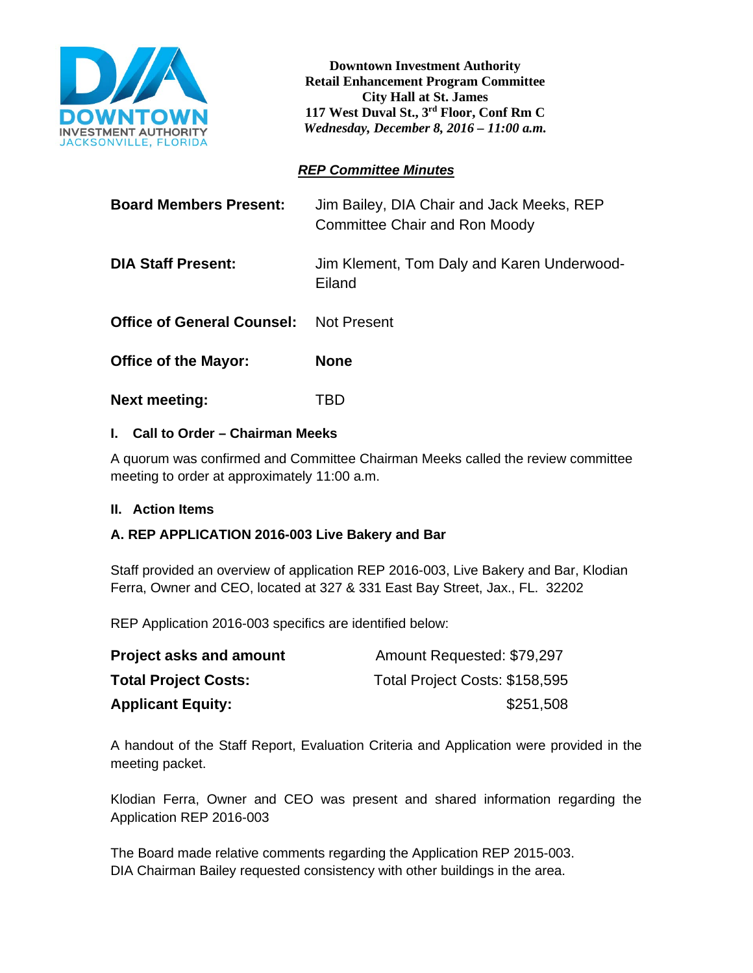

**Downtown Investment Authority Retail Enhancement Program Committee City Hall at St. James 117 West Duval St., 3rd Floor, Conf Rm C**  *Wednesday, December 8, 2016 – 11:00 a.m.*

## *REP Committee Minutes*

| <b>Board Members Present:</b>     | Jim Bailey, DIA Chair and Jack Meeks, REP<br>Committee Chair and Ron Moody |
|-----------------------------------|----------------------------------------------------------------------------|
| <b>DIA Staff Present:</b>         | Jim Klement, Tom Daly and Karen Underwood-<br>Eiland                       |
| <b>Office of General Counsel:</b> | <b>Not Present</b>                                                         |
| <b>Office of the Mayor:</b>       | <b>None</b>                                                                |
| <b>Next meeting:</b>              | TBD                                                                        |

### **I. Call to Order – Chairman Meeks**

A quorum was confirmed and Committee Chairman Meeks called the review committee meeting to order at approximately 11:00 a.m.

### **II. Action Items**

# **A. REP APPLICATION 2016-003 Live Bakery and Bar**

Staff provided an overview of application REP 2016-003, Live Bakery and Bar, Klodian Ferra, Owner and CEO, located at 327 & 331 East Bay Street, Jax., FL. 32202

REP Application 2016-003 specifics are identified below:

| <b>Project asks and amount</b> | Amount Requested: \$79,297     |
|--------------------------------|--------------------------------|
| <b>Total Project Costs:</b>    | Total Project Costs: \$158,595 |
| <b>Applicant Equity:</b>       | \$251,508                      |

A handout of the Staff Report, Evaluation Criteria and Application were provided in the meeting packet.

Klodian Ferra, Owner and CEO was present and shared information regarding the Application REP 2016-003

The Board made relative comments regarding the Application REP 2015-003. DIA Chairman Bailey requested consistency with other buildings in the area.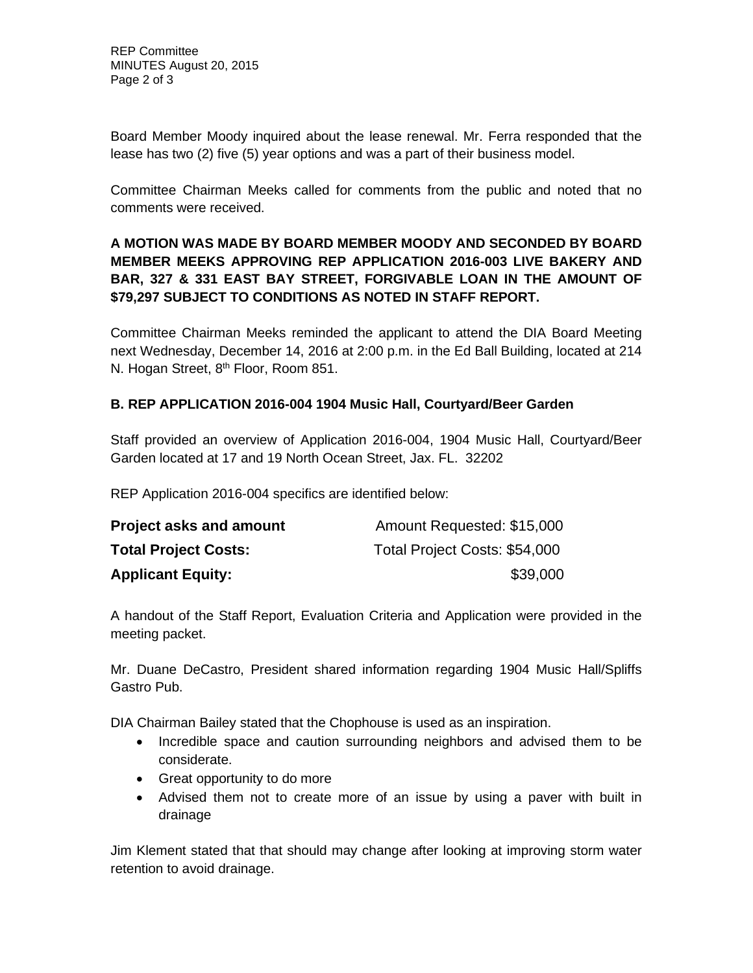Board Member Moody inquired about the lease renewal. Mr. Ferra responded that the lease has two (2) five (5) year options and was a part of their business model.

Committee Chairman Meeks called for comments from the public and noted that no comments were received.

# **A MOTION WAS MADE BY BOARD MEMBER MOODY AND SECONDED BY BOARD MEMBER MEEKS APPROVING REP APPLICATION 2016-003 LIVE BAKERY AND BAR, 327 & 331 EAST BAY STREET, FORGIVABLE LOAN IN THE AMOUNT OF \$79,297 SUBJECT TO CONDITIONS AS NOTED IN STAFF REPORT.**

Committee Chairman Meeks reminded the applicant to attend the DIA Board Meeting next Wednesday, December 14, 2016 at 2:00 p.m. in the Ed Ball Building, located at 214 N. Hogan Street, 8<sup>th</sup> Floor, Room 851.

# **B. REP APPLICATION 2016-004 1904 Music Hall, Courtyard/Beer Garden**

Staff provided an overview of Application 2016-004, 1904 Music Hall, Courtyard/Beer Garden located at 17 and 19 North Ocean Street, Jax. FL. 32202

REP Application 2016-004 specifics are identified below:

| <b>Project asks and amount</b> | Amount Requested: \$15,000    |
|--------------------------------|-------------------------------|
| <b>Total Project Costs:</b>    | Total Project Costs: \$54,000 |
| <b>Applicant Equity:</b>       | \$39,000                      |

A handout of the Staff Report, Evaluation Criteria and Application were provided in the meeting packet.

Mr. Duane DeCastro, President shared information regarding 1904 Music Hall/Spliffs Gastro Pub.

DIA Chairman Bailey stated that the Chophouse is used as an inspiration.

- Incredible space and caution surrounding neighbors and advised them to be considerate.
- Great opportunity to do more
- Advised them not to create more of an issue by using a paver with built in drainage

Jim Klement stated that that should may change after looking at improving storm water retention to avoid drainage.